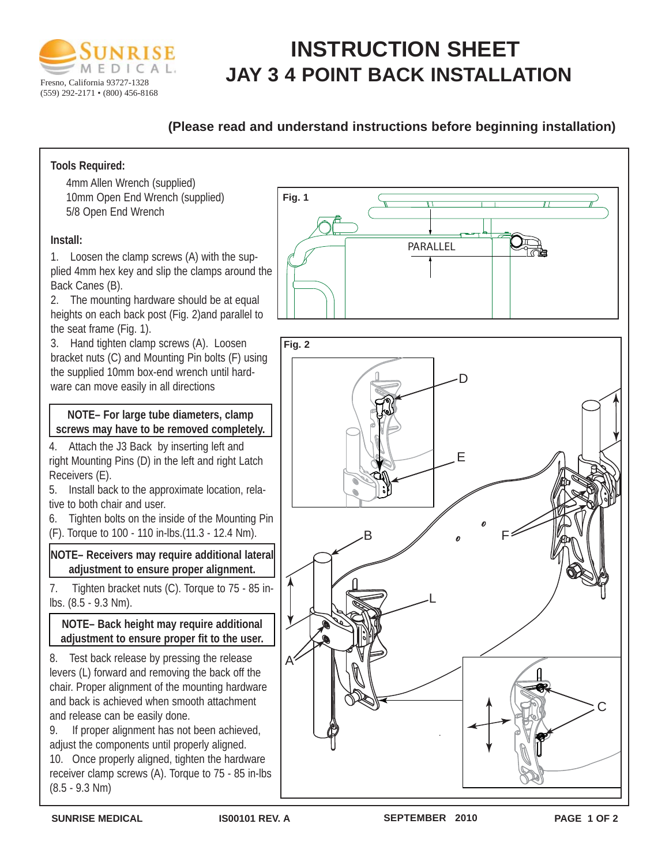

# **INSTRUCTION SHEET JAY 3 4 POINT BACK INSTALLATION**

# **(Please read and understand instructions before beginning installation)**

## **Tools Required:**

4mm Allen Wrench (supplied) 10mm Open End Wrench (supplied) 5/8 Open End Wrench

### **Install:**

1. Loosen the clamp screws (A) with the supplied 4mm hex key and slip the clamps around the Back Canes (B).

2. The mounting hardware should be at equal heights on each back post (Fig. 2)and parallel to the seat frame (Fig. 1).

3. Hand tighten clamp screws (A). Loosen bracket nuts (C) and Mounting Pin bolts (F) using the supplied 10mm box-end wrench until hardware can move easily in all directions

**NOTE– For large tube diameters, clamp screws may have to be removed completely.**

4. Attach the J3 Back by inserting left and right Mounting Pins (D) in the left and right Latch Receivers (E).

5. Install back to the approximate location, relative to both chair and user.

6. Tighten bolts on the inside of the Mounting Pin

(F). Torque to 100 - 110 in-lbs.(11.3 - 12.4 Nm).

**NOTE– Receivers may require additional lateral adjustment to ensure proper alignment.**

7. Tighten bracket nuts (C). Torque to 75 - 85 inlbs. (8.5 - 9.3 Nm).

### **NOTE– Back height may require additional adjustment to ensure proper fit to the user.**

8. Test back release by pressing the release levers (L) forward and removing the back off the chair. Proper alignment of the mounting hardware and back is achieved when smooth attachment and release can be easily done.

9. If proper alignment has not been achieved, adjust the components until properly aligned.

10. Once properly aligned, tighten the hardware receiver clamp screws (A). Torque to 75 - 85 in-lbs (8.5 - 9.3 Nm)